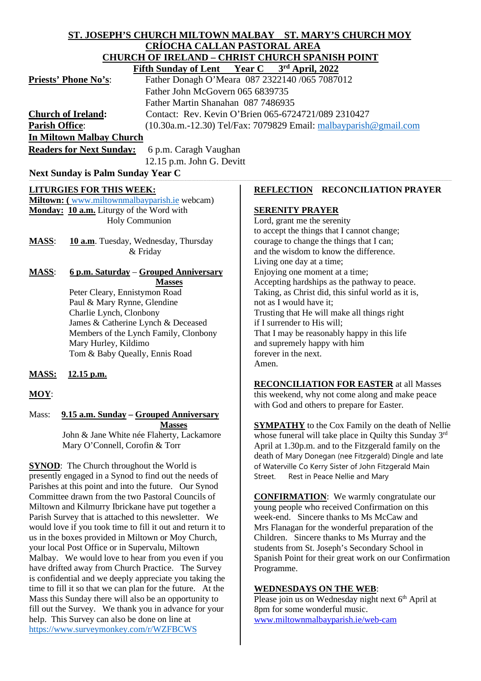#### **ST. JOSEPH'S CHURCH MILTOWN MALBAY ST. MARY'S CHURCH MOY CRÍOCHA CALLAN PASTORAL AREA CHURCH OF IRELAND – CHRIST CHURCH SPANISH POINT**<br>Fifth Sunday of Lant – Vear C – <sup>3rd</sup> April 2022 **Eifth Sunday of Lent**

|                             | FILUI SUIIUAY VI LEIIU FEAL CHUI SHAPIII, 2022                      |
|-----------------------------|---------------------------------------------------------------------|
| <b>Priests' Phone No's:</b> | Father Donagh O'Meara 087 2322140 /065 7087012                      |
|                             | Father John McGovern 065 6839735                                    |
|                             | Father Martin Shanahan 087 7486935                                  |
| <b>Church of Ireland:</b>   | Contact: Rev. Kevin O'Brien 065-6724721/089 2310427                 |
| <b>Parish Office:</b>       | $(10.30a.m.-12.30)$ Tel/Fax: 7079829 Email: malbayparish @gmail.com |
| In Miltown Malbay Church    |                                                                     |
|                             |                                                                     |

**Readers for Next Sunday:** 6 p.m. Caragh Vaughan 12.15 p.m. John G. Devitt

**Next Sunday is Palm Sunday Year C** 

## **LITURGIES FOR THIS WEEK:**

**Miltown: (** [www.miltownmalbayparish.ie](http://www.miltownmalbayparish.ie/) webcam) **Monday: 10 a.m.** Liturgy of the Word with Holy Communion

**MASS**: **10 a.m**. Tuesday, Wednesday, Thursday & Friday

**MASS**: **6 p.m. Saturday** – **Grouped Anniversary Masses** Peter Cleary, Ennistymon Road

 Paul & Mary Rynne, Glendine Charlie Lynch, Clonbony James & Catherine Lynch & Deceased Members of the Lynch Family, Clonbony Mary Hurley, Kildimo Tom & Baby Queally, Ennis Road

- **MASS: 12.15 p.m.**
- **MOY**:

Mass: **9.15 a.m. Sunday – Grouped Anniversary Masses**

 John & Jane White née Flaherty, Lackamore Mary O'Connell, Corofin & Torr

**SYNOD:** The Church throughout the World is presently engaged in a Synod to find out the needs of Parishes at this point and into the future. Our Synod Committee drawn from the two Pastoral Councils of Miltown and Kilmurry Ibrickane have put together a Parish Survey that is attached to this newsletter. We would love if you took time to fill it out and return it to us in the boxes provided in Miltown or Moy Church, your local Post Office or in Supervalu, Miltown Malbay. We would love to hear from you even if you have drifted away from Church Practice. The Survey is confidential and we deeply appreciate you taking the time to fill it so that we can plan for the future. At the Mass this Sunday there will also be an opportunity to fill out the Survey. We thank you in advance for your help. This Survey can also be done on line at <https://www.surveymonkey.com/r/WZFBCWS>

# **REFLECTION RECONCILIATION PRAYER**

## **SERENITY PRAYER**

Lord, grant me the serenity to accept the things that I cannot change; courage to change the things that I can; and the wisdom to know the difference. Living one day at a time; Enjoying one moment at a time; Accepting hardships as the pathway to peace. Taking, as Christ did, this sinful world as it is, not as I would have it; Trusting that He will make all things right if I surrender to His will; That I may be reasonably happy in this life and supremely happy with him forever in the next. Amen.

**RECONCILIATION FOR EASTER** at all Masses this weekend, why not come along and make peace with God and others to prepare for Easter.

**SYMPATHY** to the Cox Family on the death of Nellie whose funeral will take place in Quilty this Sunday 3<sup>rd</sup> April at 1.30p.m. and to the Fitzgerald family on the death of Mary Donegan (nee Fitzgerald) Dingle and late of Waterville Co Kerry Sister of John Fitzgerald Main Street. Rest in Peace Nellie and Mary

**CONFIRMATION**: We warmly congratulate our young people who received Confirmation on this week-end. Sincere thanks to Ms McCaw and Mrs Flanagan for the wonderful preparation of the Children. Sincere thanks to Ms Murray and the students from St. Joseph's Secondary School in Spanish Point for their great work on our Confirmation Programme.

## **WEDNESDAYS ON THE WEB**:

Please join us on Wednesday night next  $6<sup>th</sup>$  April at 8pm for some wonderful music. [www.miltownmalbayparish.ie/web-cam](http://www.miltownmalbayparish.ie/web-cam)